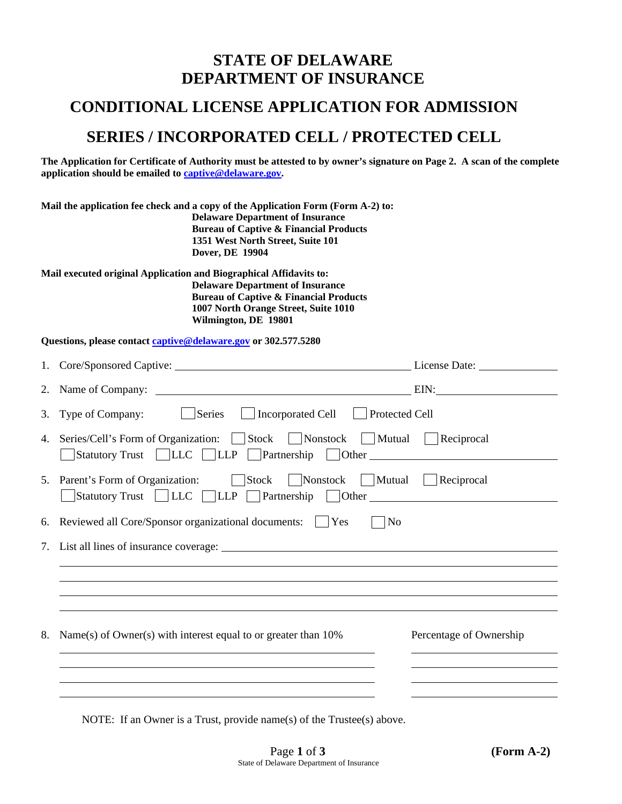# **STATE OF DELAWARE DEPARTMENT OF INSURANCE**

# **CONDITIONAL LICENSE APPLICATION FOR ADMISSION**

# **SERIES / INCORPORATED CELL / PROTECTED CELL**

**The Application for Certificate of Authority must be attested to by owner's signature on Page 2. A scan of the complete application should be emailed to [captive@delaware.gov.](mailto:captive@delaware.gov)** 

| Mail the application fee check and a copy of the Application Form (Form A-2) to:<br><b>Delaware Department of Insurance</b><br><b>Bureau of Captive &amp; Financial Products</b><br>1351 West North Street, Suite 101<br>Dover, DE 19904 |                                                                    |        |                                                                                                                                                              |                       |  |
|------------------------------------------------------------------------------------------------------------------------------------------------------------------------------------------------------------------------------------------|--------------------------------------------------------------------|--------|--------------------------------------------------------------------------------------------------------------------------------------------------------------|-----------------------|--|
|                                                                                                                                                                                                                                          | Mail executed original Application and Biographical Affidavits to: |        | <b>Delaware Department of Insurance</b><br><b>Bureau of Captive &amp; Financial Products</b><br>1007 North Orange Street, Suite 1010<br>Wilmington, DE 19801 |                       |  |
|                                                                                                                                                                                                                                          | Questions, please contact captive@delaware.gov or 302.577.5280     |        |                                                                                                                                                              |                       |  |
|                                                                                                                                                                                                                                          |                                                                    |        |                                                                                                                                                              | License Date:         |  |
|                                                                                                                                                                                                                                          | 2. Name of Company:                                                |        | <u> 1989 - Johann Barnett, fransk politiker (d. 1989)</u>                                                                                                    | EIN:                  |  |
|                                                                                                                                                                                                                                          | 3. Type of Company:                                                | Series | <b>Incorporated Cell</b>                                                                                                                                     | <b>Protected Cell</b> |  |

| 4. Series/Cell's Form of Organization: Stock Nonstock Mutual Reciprocal      |  |
|------------------------------------------------------------------------------|--|
| Statutory Trust LLC LLP Partnership Other                                    |  |
| Stock   Nonstock   Mutual   Reciprocal<br>5. Parent's Form of Organization:  |  |
| $\Box$ Statutory Trust $\Box$ LLC $\Box$ LLP $\Box$ Partnership $\Box$ Other |  |

6. Reviewed all Core/Sponsor organizational documents:  $\Box$  Yes  $\Box$  No

| 8. Name(s) of Owner(s) with interest equal to or greater than $10\%$ | Percentage of Ownership |
|----------------------------------------------------------------------|-------------------------|
|                                                                      |                         |

NOTE: If an Owner is a Trust, provide name(s) of the Trustee(s) above.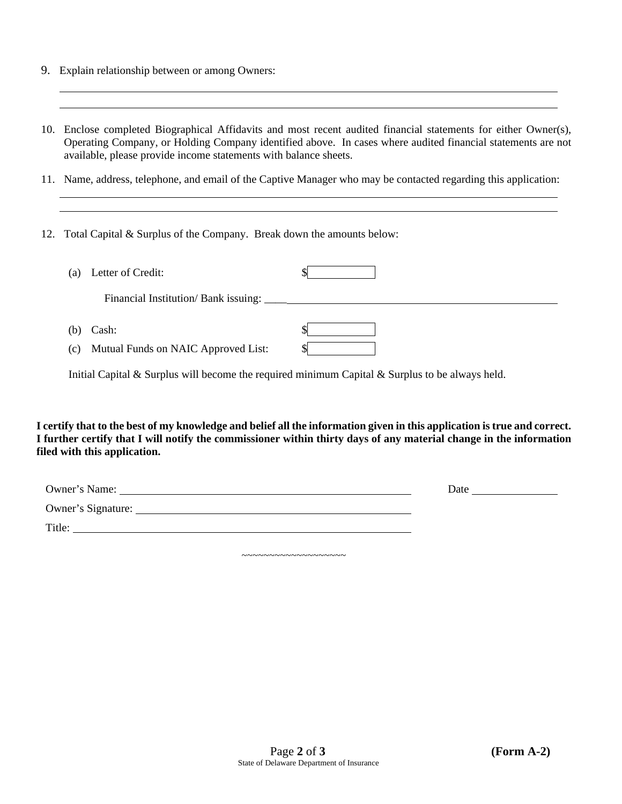- 9. Explain relationship between or among Owners:
- 10. Enclose completed Biographical Affidavits and most recent audited financial statements for either Owner(s), Operating Company, or Holding Company identified above. In cases where audited financial statements are not available, please provide income statements with balance sheets.
- 11. Name, address, telephone, and email of the Captive Manager who may be contacted regarding this application:
- 12. Total Capital & Surplus of the Company. Break down the amounts below:

| Letter of Credit:<br>(a)                                  |  |
|-----------------------------------------------------------|--|
| Financial Institution/Bank issuing:                       |  |
| $(b)$ Cash:<br>Mutual Funds on NAIC Approved List:<br>(c) |  |

Initial Capital  $\&$  Surplus will become the required minimum Capital  $\&$  Surplus to be always held.

**I certify that to the best of my knowledge and belief all the information given in this application is true and correct. I further certify that I will notify the commissioner within thirty days of any material change in the information filed with this application.** 

| Owner's Name:      | Date |
|--------------------|------|
| Owner's Signature: |      |
| Title:             |      |

~~~~~~~~~~~~~~~~~~~